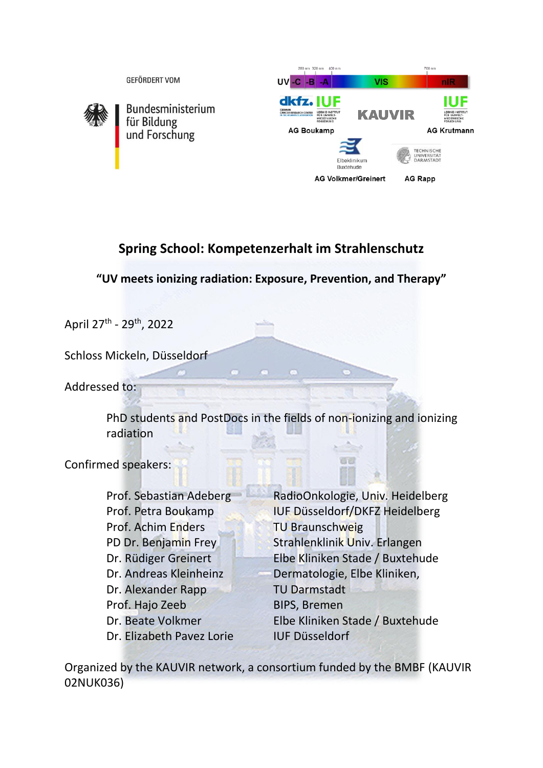

# **Spring School: Kompetenzerhalt im Strahlenschutz**

**"UV meets ionizing radiation: Exposure, Prevention, and Therapy"**

April 27<sup>th</sup> - 29<sup>th</sup>, 2022

Schloss Mickeln, Düsseldorf

Addressed to:

PhD students and PostDocs in the fields of non-ionizing and ionizing radiation

Confirmed speakers:

Prof. Achim Enders TU Braunschweig Dr. Alexander Rapp TU Darmstadt Prof. Hajo Zeeb BIPS, Bremen Dr. Elizabeth Pavez Lorie IUF Düsseldorf

Prof. Sebastian Adeberg RadioOnkologie, Univ. Heidelberg Prof. Petra Boukamp **IUF Düsseldorf/DKFZ Heidelberg** PD Dr. Benjamin Frey Strahlenklinik Univ. Erlangen Dr. Rüdiger Greinert Elbe Kliniken Stade / Buxtehude Dr. Andreas Kleinheinz Dermatologie, Elbe Kliniken, Dr. Beate Volkmer Elbe Kliniken Stade / Buxtehude

Organized by the KAUVIR network, a consortium funded by the BMBF (KAUVIR 02NUK036)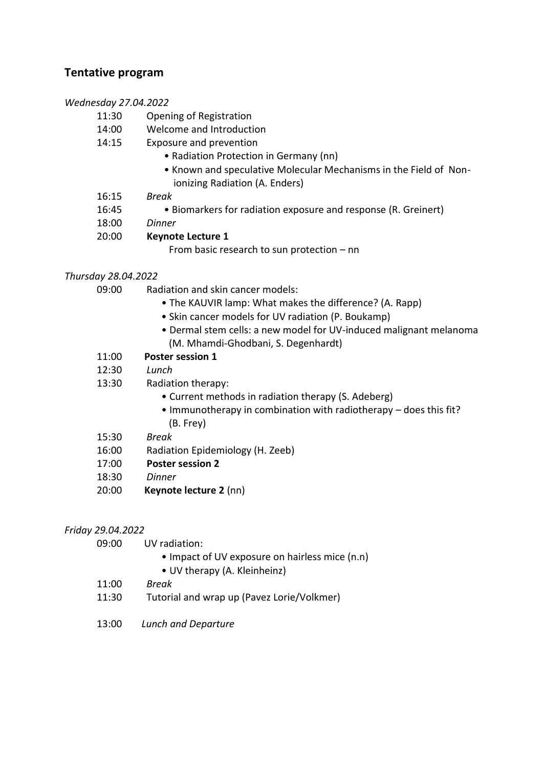### **Tentative program**

#### *Wednesday 27.04.2022*

- 11:30 Opening of Registration
- 14:00 Welcome and Introduction
- 14:15 Exposure and prevention
	- Radiation Protection in Germany (nn)
	- Known and speculative Molecular Mechanisms in the Field of Non ionizing Radiation (A. Enders)
- 16:15 *Break*
- 16:45 Biomarkers for radiation exposure and response (R. Greinert)
- 18:00 *Dinner*
- 20:00 **Keynote Lecture 1**

From basic research to sun protection – nn

#### *Thursday 28.04.2022*

- 09:00 Radiation and skin cancer models:
	- The KAUVIR lamp: What makes the difference? (A. Rapp)
	- Skin cancer models for UV radiation (P. Boukamp)
	- Dermal stem cells: a new model for UV-induced malignant melanoma (M. Mhamdi-Ghodbani, S. Degenhardt)
- 11:00 **Poster session 1**
- 12:30 *Lunch*
- 13:30 Radiation therapy:
	- Current methods in radiation therapy (S. Adeberg)
	- Immunotherapy in combination with radiotherapy does this fit? (B. Frey)
- 15:30 *Break*
- 16:00 Radiation Epidemiology (H. Zeeb)
- 17:00 **Poster session 2**
- 18:30 *Dinner*
- 20:00 **Keynote lecture 2** (nn)

#### *Friday 29.04.2022*

09:00 UV radiation:

- Impact of UV exposure on hairless mice (n.n)
- UV therapy (A. Kleinheinz)
- 11:00 *Break*
- 11:30 Tutorial and wrap up (Pavez Lorie/Volkmer)
- 13:00 *Lunch and Departure*